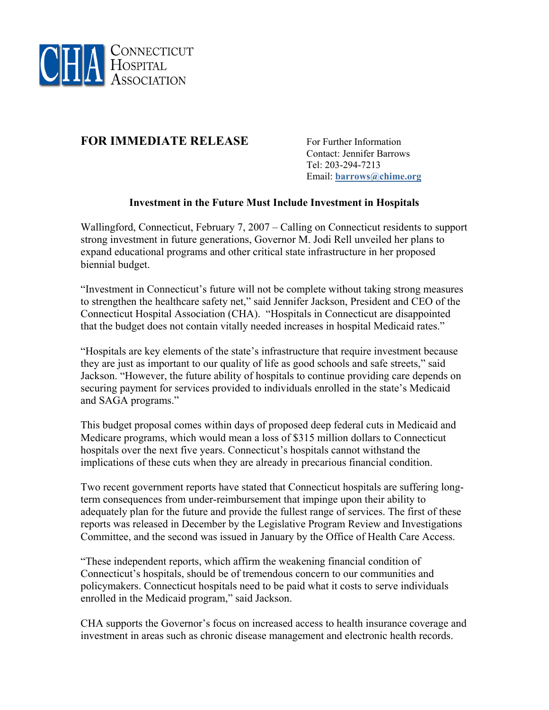

## **FOR IMMEDIATE RELEASE** For Further Information

 Contact: Jennifer Barrows Tel: 203-294-7213 Email: **[barrows@chime.org](mailto:barrows@chime.org)**

## **Investment in the Future Must Include Investment in Hospitals**

Wallingford, Connecticut, February 7, 2007 – Calling on Connecticut residents to support strong investment in future generations, Governor M. Jodi Rell unveiled her plans to expand educational programs and other critical state infrastructure in her proposed biennial budget.

"Investment in Connecticut's future will not be complete without taking strong measures to strengthen the healthcare safety net," said Jennifer Jackson, President and CEO of the Connecticut Hospital Association (CHA). "Hospitals in Connecticut are disappointed that the budget does not contain vitally needed increases in hospital Medicaid rates."

"Hospitals are key elements of the state's infrastructure that require investment because they are just as important to our quality of life as good schools and safe streets," said Jackson. "However, the future ability of hospitals to continue providing care depends on securing payment for services provided to individuals enrolled in the state's Medicaid and SAGA programs."

This budget proposal comes within days of proposed deep federal cuts in Medicaid and Medicare programs, which would mean a loss of \$315 million dollars to Connecticut hospitals over the next five years. Connecticut's hospitals cannot withstand the implications of these cuts when they are already in precarious financial condition.

Two recent government reports have stated that Connecticut hospitals are suffering longterm consequences from under-reimbursement that impinge upon their ability to adequately plan for the future and provide the fullest range of services. The first of these reports was released in December by the Legislative Program Review and Investigations Committee, and the second was issued in January by the Office of Health Care Access.

"These independent reports, which affirm the weakening financial condition of Connecticut's hospitals, should be of tremendous concern to our communities and policymakers. Connecticut hospitals need to be paid what it costs to serve individuals enrolled in the Medicaid program," said Jackson.

CHA supports the Governor's focus on increased access to health insurance coverage and investment in areas such as chronic disease management and electronic health records.